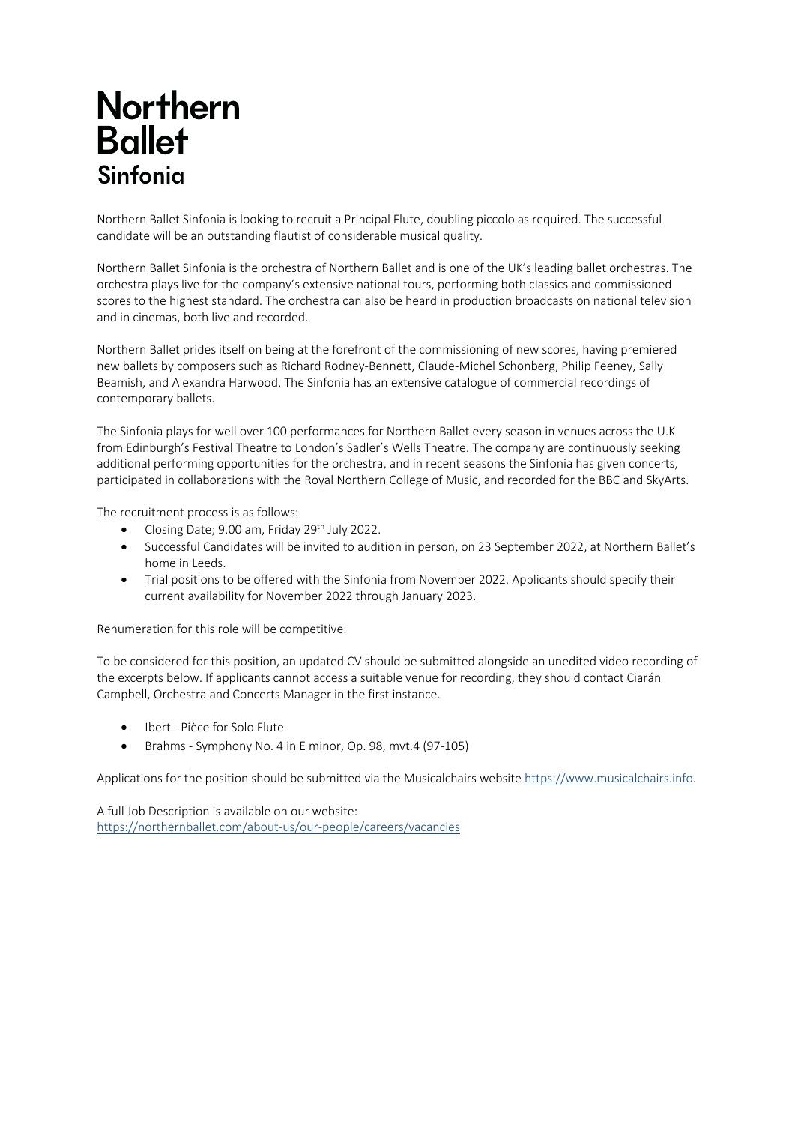## **Northern Ballet** Sinfonia

Northern Ballet Sinfonia is looking to recruit a Principal Flute, doubling piccolo as required. The successful candidate will be an outstanding flautist of considerable musical quality.

Northern Ballet Sinfonia is the orchestra of Northern Ballet and is one of the UK's leading ballet orchestras. The orchestra plays live for the company's extensive national tours, performing both classics and commissioned scores to the highest standard. The orchestra can also be heard in production broadcasts on national television and in cinemas, both live and recorded.

Northern Ballet prides itself on being at the forefront of the commissioning of new scores, having premiered new ballets by composers such as Richard Rodney-Bennett, Claude-Michel Schonberg, Philip Feeney, Sally Beamish, and Alexandra Harwood. The Sinfonia has an extensive catalogue of commercial recordings of contemporary ballets.

The Sinfonia plays for well over 100 performances for Northern Ballet every season in venues across the U.K from Edinburgh's Festival Theatre to London's Sadler's Wells Theatre. The company are continuously seeking additional performing opportunities for the orchestra, and in recent seasons the Sinfonia has given concerts, participated in collaborations with the Royal Northern College of Music, and recorded for the BBC and SkyArts.

The recruitment process is as follows:

- Closing Date; 9.00 am, Friday  $29<sup>th</sup>$  July 2022.
- Successful Candidates will be invited to audition in person, on 23 September 2022, at Northern Ballet's home in Leeds.
- Trial positions to be offered with the Sinfonia from November 2022. Applicants should specify their current availability for November 2022 through January 2023.

Renumeration for this role will be competitive.

To be considered for this position, an updated CV should be submitted alongside an unedited video recording of the excerpts below. If applicants cannot access a suitable venue for recording, they should contact Ciarán Campbell, Orchestra and Concerts Manager in the first instance.

- Ibert Pièce for Solo Flute
- Brahms Symphony No. 4 in E minor, Op. 98, mvt.4 (97-105)

Applications for the position should be submitted via the Musicalchairs website https://www.musicalchairs.info.

A full Job Description is available on our website: https://northernballet.com/about-us/our-people/careers/vacancies